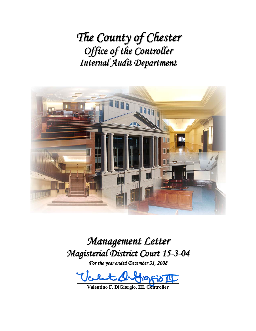*The County of Chester Office of the Controller Internal Audit Department*



*Management Letter Magisterial District Court 15-3-04*

*For the year ended December 31, 2008*

**\_\_\_\_\_\_\_\_\_\_\_\_\_\_\_\_\_\_\_\_\_\_\_\_\_\_\_\_\_\_\_\_\_\_\_\_\_\_\_\_\_** 

**Valentino F. DiGiorgio, III, Controller**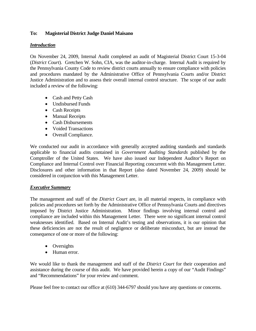## **To: Magisterial District Judge Daniel Maisano**

#### *Introduction*

On November 24, 2009, Internal Audit completed an audit of Magisterial District Court 15-3-04 (*District Court*). Gretchen W. Sohn, CIA, was the auditor-in-charge. Internal Audit is required by the Pennsylvania County Code to review district courts annually to ensure compliance with policies and procedures mandated by the Administrative Office of Pennsylvania Courts and/or District Justice Administration and to assess their overall internal control structure. The scope of our audit included a review of the following:

- Cash and Petty Cash
- Undisbursed Funds
- Cash Receipts
- Manual Receipts
- Cash Disbursements
- Voided Transactions
- Overall Compliance.

We conducted our audit in accordance with generally accepted auditing standards and standards applicable to financial audits contained in *Government Auditing Standards* published by the Comptroller of the United States. We have also issued our Independent Auditor's Report on Compliance and Internal Control over Financial Reporting concurrent with this Management Letter. Disclosures and other information in that Report (also dated November 24, 2009) should be considered in conjunction with this Management Letter.

#### *Executive Summary*

The management and staff of the *District Court* are, in all material respects, in compliance with policies and procedures set forth by the Administrative Office of Pennsylvania Courts and directives imposed by District Justice Administration. Minor findings involving internal control and compliance are included within this Management Letter. There were no significant internal control weaknesses identified. Based on Internal Audit's testing and observations, it is our opinion that these deficiencies are not the result of negligence or deliberate misconduct, but are instead the consequence of one or more of the following:

- Oversights
- Human error.

We would like to thank the management and staff of the *District Court* for their cooperation and assistance during the course of this audit. We have provided herein a copy of our "Audit Findings" and "Recommendations" for your review and comment.

Please feel free to contact our office at (610) 344-6797 should you have any questions or concerns.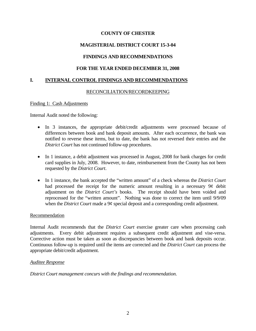## **MAGISTERIAL DISTRICT COURT 15-3-04**

## **FINDINGS AND RECOMMENDATIONS**

## **FOR THE YEAR ENDED DECEMBER 31, 2008**

## **I. INTERNAL CONTROL FINDINGS AND RECOMMENDATIONS**

### RECONCILIATION/RECORDKEEPING

#### Finding 1: Cash Adjustments

Internal Audit noted the following:

- In 3 instances, the appropriate debit/credit adjustments were processed because of differences between book and bank deposit amounts. After each occurrence, the bank was notified to reverse these items, but to date, the bank has not reversed their entries and the *District Court* has not continued follow-up procedures.
- In 1 instance, a debit adjustment was processed in August, 2008 for bank charges for credit card supplies in July, 2008. However, to date, reimbursement from the County has not been requested by the *District Court*.
- In 1 instance, the bank accepted the "written amount" of a check whereas the *District Court* had processed the receipt for the numeric amount resulting in a necessary 9¢ debit adjustment on the *District Court's* books. The receipt should have been voided and reprocessed for the "written amount". Nothing was done to correct the item until 9/9/09 when the *District Court* made a 9¢ special deposit and a corresponding credit adjustment.

#### Recommendation

Internal Audit recommends that the *District Court* exercise greater care when processing cash adjustments. Every debit adjustment requires a subsequent credit adjustment and vise-versa. Corrective action must be taken as soon as discrepancies between book and bank deposits occur. Continuous follow-up is required until the items are corrected and the *District Court* can process the appropriate debit/credit adjustment.

#### *Auditee Response*

*District Court management concurs with the findings and recommendation.*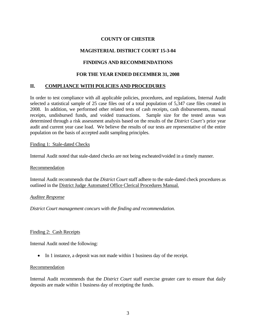## **MAGISTERIAL DISTRICT COURT 15-3-04**

## **FINDINGS AND RECOMMENDATIONS**

### **FOR THE YEAR ENDED DECEMBER 31, 2008**

## **II. COMPLIANCE WITH POLICIES AND PROCEDURES**

In order to test compliance with all applicable policies, procedures, and regulations, Internal Audit selected a statistical sample of 25 case files out of a total population of 5,347 case files created in 2008. In addition, we performed other related tests of cash receipts, cash disbursements, manual receipts, undisbursed funds, and voided transactions. Sample size for the tested areas was determined through a risk assessment analysis based on the results of the *District Court's* prior year audit and current year case load. We believe the results of our tests are representative of the entire population on the basis of accepted audit sampling principles.

#### Finding 1: Stale-dated Checks

Internal Audit noted that stale-dated checks are not being escheated/voided in a timely manner.

#### Recommendation

Internal Audit recommends that the *District Court* staff adhere to the stale-dated check procedures as outlined in the District Judge Automated Office Clerical Procedures Manual.

#### *Auditee Response*

*District Court management concurs with the finding and recommendation.* 

#### Finding 2: Cash Receipts

Internal Audit noted the following:

• In 1 instance, a deposit was not made within 1 business day of the receipt.

#### Recommendation

Internal Audit recommends that the *District Court* staff exercise greater care to ensure that daily deposits are made within 1 business day of receipting the funds.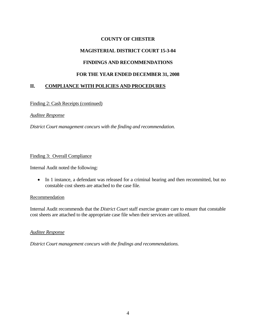## **MAGISTERIAL DISTRICT COURT 15-3-04**

## **FINDINGS AND RECOMMENDATIONS**

### **FOR THE YEAR ENDED DECEMBER 31, 2008**

## **II. COMPLIANCE WITH POLICIES AND PROCEDURES**

Finding 2: Cash Receipts (continued)

#### *Auditee Response*

*District Court management concurs with the finding and recommendation.* 

#### Finding 3: Overall Compliance

Internal Audit noted the following:

• In 1 instance, a defendant was released for a criminal hearing and then recommitted, but no constable cost sheets are attached to the case file.

#### Recommendation

Internal Audit recommends that the *District Court* staff exercise greater care to ensure that constable cost sheets are attached to the appropriate case file when their services are utilized.

#### *Auditee Response*

*District Court management concurs with the findings and recommendations.*